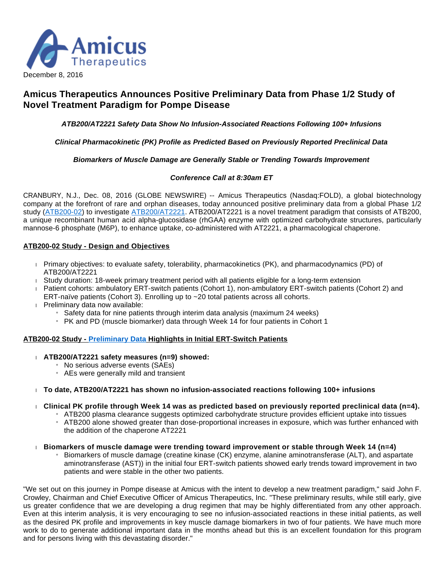

# **Amicus Therapeutics Announces Positive Preliminary Data from Phase 1/2 Study of Novel Treatment Paradigm for Pompe Disease**

# **ATB200/AT2221 Safety Data Show No Infusion-Associated Reactions Following 100+ Infusions**

# **Clinical Pharmacokinetic (PK) Profile as Predicted Based on Previously Reported Preclinical Data**

# **Biomarkers of Muscle Damage are Generally Stable or Trending Towards Improvement**

#### **Conference Call at 8:30am ET**

CRANBURY, N.J., Dec. 08, 2016 (GLOBE NEWSWIRE) -- Amicus Therapeutics (Nasdaq:FOLD), a global biotechnology company at the forefront of rare and orphan diseases, today announced positive preliminary data from a global Phase 1/2 study [\(ATB200-02\)](https://www.globenewswire.com/Tracker?data=hGKKdjY7MFls7jDwIDf-LbUhg3Oy2_skauPkZBTpzXBLTigNGPt4A-8zDtGIzc171LZvVP87tE8H3ZrSP5qrxv9pR4p_qfb2ZL0vfV-TpZlWR-5--PvBaTXDyBl5ittpG2wYKBmLR0IZqQVrIytEvg==) to investigate [ATB200/AT2221.](https://www.globenewswire.com/Tracker?data=hGKKdjY7MFls7jDwIDf-LaW6fq2ZFJGqtT0ikxigw9YugfUhYe6vPwdb5Wy-unAmpuDrR2abFUZ9s3Kuf89QeYi9mXAtPI7NgNqSxVyoThs=) ATB200/AT2221 is a novel treatment paradigm that consists of ATB200, a unique recombinant human acid alpha-glucosidase (rhGAA) enzyme with optimized carbohydrate structures, particularly mannose-6 phosphate (M6P), to enhance uptake, co-administered with AT2221, a pharmacological chaperone.

#### **ATB200-02 Study - Design and Objectives**

- Primary objectives: to evaluate safety, tolerability, pharmacokinetics (PK), and pharmacodynamics (PD) of ATB200/AT2221
- Study duration: 18-week primary treatment period with all patients eligible for a long-term extension
- Patient cohorts: ambulatory ERT-switch patients (Cohort 1), non-ambulatory ERT-switch patients (Cohort 2) and ERT-naïve patients (Cohort 3). Enrolling up to ~20 total patients across all cohorts.
- Preliminary data now available:
	- $\frac{1}{1}$  Safety data for nine patients through interim data analysis (maximum 24 weeks)
	- $\mu$  PK and PD (muscle biomarker) data through Week 14 for four patients in Cohort 1

#### **ATB200-02 Study - [Preliminary Data](https://www.globenewswire.com/Tracker?data=8zwtCzYhJxu-GuArJp8GPzwlanCTBGexpkibdHu5rGWdC0Y_jRzcyUqqC79OKTSx9VNn3mBrf4ecWUHovV9gN01aAmPAAx8mFXtY08q3f6Q=) Highlights in Initial ERT-Switch Patients**

#### **ATB200/AT2221 safety measures (n=9) showed:**

- » No serious adverse events (SAEs)
- » AEs were generally mild and transient

#### **To date, ATB200/AT2221 has shown no infusion-associated reactions following 100+ infusions**

- **Clinical PK profile through Week 14 was as predicted based on previously reported preclinical data (n=4).** 
	- ATB200 plasma clearance suggests optimized carbohydrate structure provides efficient uptake into tissues i ATB200 alone showed greater than dose-proportional increases in exposure, which was further enhanced with
		- the addition of the chaperone AT2221
- **Biomarkers of muscle damage were trending toward improvement or stable through Week 14 (n=4)**
	- » Biomarkers of muscle damage (creatine kinase (CK) enzyme, alanine aminotransferase (ALT), and aspartate aminotransferase (AST)) in the initial four ERT-switch patients showed early trends toward improvement in two patients and were stable in the other two patients.

"We set out on this journey in Pompe disease at Amicus with the intent to develop a new treatment paradigm," said John F. Crowley, Chairman and Chief Executive Officer of Amicus Therapeutics, Inc. "These preliminary results, while still early, give us greater confidence that we are developing a drug regimen that may be highly differentiated from any other approach. Even at this interim analysis, it is very encouraging to see no infusion-associated reactions in these initial patients, as well as the desired PK profile and improvements in key muscle damage biomarkers in two of four patients. We have much more work to do to generate additional important data in the months ahead but this is an excellent foundation for this program and for persons living with this devastating disorder."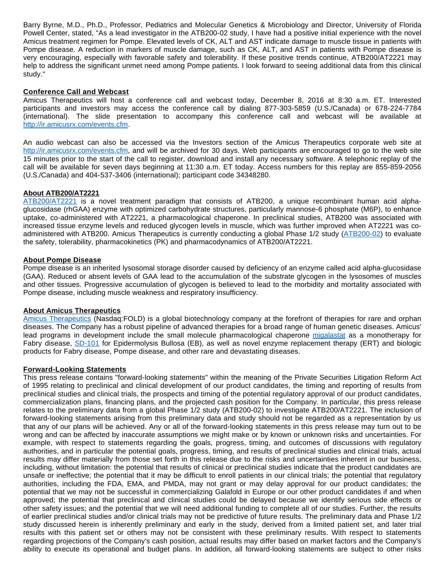Barry Byrne, M.D., Ph.D., Professor, Pediatrics and Molecular Genetics & Microbiology and Director, University of Florida Powell Center, stated, "As a lead investigator in the ATB200-02 study, I have had a positive initial experience with the novel Amicus treatment regimen for Pompe. Elevated levels of CK, ALT and AST indicate damage to muscle tissue in patients with Pompe disease. A reduction in markers of muscle damage, such as CK, ALT, and AST in patients with Pompe disease is very encouraging, especially with favorable safety and tolerability. If these positive trends continue, ATB200/AT2221 may help to address the significant unmet need among Pompe patients. I look forward to seeing additional data from this clinical study."

# **Conference Call and Webcast**

Amicus Therapeutics will host a conference call and webcast today, December 8, 2016 at 8:30 a.m. ET. Interested participants and investors may access the conference call by dialing 877-303-5859 (U.S./Canada) or 678-224-7784 (international). The slide presentation to accompany this conference call and webcast will be available at [http://ir.amicusrx.com/events.cfm](https://www.globenewswire.com/Tracker?data=__bk8JeqHzLerp0VyQcE2HFjbNZOa_NFkD6VPD8k_YDm6Jc8xReJv-j8gdC97kd4MDDhqRdMMmOqXqlUJVu-T6Z2sl7Pf7w-CNXKUTIjTsemdn6WkABVq8C7dxB0X97z).

An audio webcast can also be accessed via the Investors section of the Amicus Therapeutics corporate web site at [http://ir.amicusrx.com/events.cfm](https://www.globenewswire.com/Tracker?data=__bk8JeqHzLerp0VyQcE2HFjbNZOa_NFkD6VPD8k_YC8cRyyFWFyY3t_TS_QvIp1foPaRFmcF8itkXbuyOAnf0yUN_Hg35bRfI2wyh9hDrzFz3bJ-zMdpNk0RhIh9Wf4), and will be archived for 30 days. Web participants are encouraged to go to the web site 15 minutes prior to the start of the call to register, download and install any necessary software. A telephonic replay of the call will be available for seven days beginning at 11:30 a.m. ET today. Access numbers for this replay are 855-859-2056 (U.S./Canada) and 404-537-3406 (international); participant code 34348280.

#### **About ATB200/AT2221**

[ATB200/AT2221](https://www.globenewswire.com/Tracker?data=hGKKdjY7MFls7jDwIDf-LYdggM7Dt9pk1pJk7UHqhT5160Vgj11KIQhhhMqJDGnKk_BrdzbkKARvKLBcMukxx5eNh8E9GjYj-BQa8lWmiUY=) is a novel treatment paradigm that consists of ATB200, a unique recombinant human acid alphaglucosidase (rhGAA) enzyme with optimized carbohydrate structures, particularly mannose-6 phosphate (M6P), to enhance uptake, co-administered with AT2221, a pharmacological chaperone. In preclinical studies, ATB200 was associated with increased tissue enzyme levels and reduced glycogen levels in muscle, which was further improved when AT2221 was coadministered with ATB200. Amicus Therapeutics is currently conducting a global Phase 1/2 study [\(ATB200-02\)](https://www.globenewswire.com/Tracker?data=hGKKdjY7MFls7jDwIDf-LSLXhThCmwLYQKINbTfjbguBMHKNLUMKTY5bgZP6Zi46gkih2jRoc9Jn_VzKEQ6cgOThkJQDizPKXT0Z40J8m1kAnyCswvt3Vr3XR9sjQIT_YiaHtNCKlcqtWiCA9Tlmpw==) to evaluate the safety, tolerability, pharmacokinetics (PK) and pharmacodynamics of ATB200/AT2221.

#### **About Pompe Disease**

Pompe disease is an inherited lysosomal storage disorder caused by deficiency of an enzyme called acid alpha-glucosidase (GAA). Reduced or absent levels of GAA lead to the accumulation of the substrate glycogen in the lysosomes of muscles and other tissues. Progressive accumulation of glycogen is believed to lead to the morbidity and mortality associated with Pompe disease, including muscle weakness and respiratory insufficiency.

#### **About Amicus Therapeutics**

[Amicus Therapeutics](https://www.globenewswire.com/Tracker?data=8kzu77OT4TV1Ov01miDtydWQhzeAqL4PSF6Cf2f1jCC_c4MoJA574F0zMigWejpk10iQA-xJpaTmfleS6rHQgWU48UrdXer43KSz-7QDvKw=) (Nasdaq:FOLD) is a global biotechnology company at the forefront of therapies for rare and orphan diseases. The Company has a robust pipeline of advanced therapies for a broad range of human genetic diseases. Amicus' lead programs in development include the small molecule pharmacological chaperone [migalastat](https://www.globenewswire.com/Tracker?data=iuHCrDw6kGFv48BuDS0RWfTH3AUKP-iYqGtuL3uSPaIFofG2OYZzsGafntDZblCuH0aqROI9p8aF2QV01BWCZ1yr6JbC8RIfdP1RHtrg02U=) as a monotherapy for Fabry disease, [SD-101](https://www.globenewswire.com/Tracker?data=7dWjA0y7gstay_v_yhtszD5XcISqfmtclbgsv8jup_WoilmjsYSpqbLv6RqUwvfgkakMOwbO8YG92HexIiquWE-he_B4ZVwXsCICdU4MiMU=) for Epidermolysis Bullosa (EB), as well as novel enzyme replacement therapy (ERT) and biologic products for Fabry disease, Pompe disease, and other rare and devastating diseases.

#### **Forward-Looking Statements**

This press release contains "forward-looking statements" within the meaning of the Private Securities Litigation Reform Act of 1995 relating to preclinical and clinical development of our product candidates, the timing and reporting of results from preclinical studies and clinical trials, the prospects and timing of the potential regulatory approval of our product candidates, commercialization plans, financing plans, and the projected cash position for the Company. In particular, this press release relates to the preliminary data from a global Phase 1/2 study (ATB200-02) to investigate ATB200/AT2221. The inclusion of forward-looking statements arising from this preliminary data and study should not be regarded as a representation by us that any of our plans will be achieved. Any or all of the forward-looking statements in this press release may turn out to be wrong and can be affected by inaccurate assumptions we might make or by known or unknown risks and uncertainties. For example, with respect to statements regarding the goals, progress, timing, and outcomes of discussions with regulatory authorities, and in particular the potential goals, progress, timing, and results of preclinical studies and clinical trials, actual results may differ materially from those set forth in this release due to the risks and uncertainties inherent in our business, including, without limitation: the potential that results of clinical or preclinical studies indicate that the product candidates are unsafe or ineffective; the potential that it may be difficult to enroll patients in our clinical trials; the potential that regulatory authorities, including the FDA, EMA, and PMDA, may not grant or may delay approval for our product candidates; the potential that we may not be successful in commercializing Galafold in Europe or our other product candidates if and when approved; the potential that preclinical and clinical studies could be delayed because we identify serious side effects or other safety issues; and the potential that we will need additional funding to complete all of our studies. Further, the results of earlier preclinical studies and/or clinical trials may not be predictive of future results. The preliminary data and Phase 1/2 study discussed herein is inherently preliminary and early in the study, derived from a limited patient set, and later trial results with this patient set or others may not be consistent with these preliminary results. With respect to statements regarding projections of the Company's cash position, actual results may differ based on market factors and the Company's ability to execute its operational and budget plans. In addition, all forward-looking statements are subject to other risks